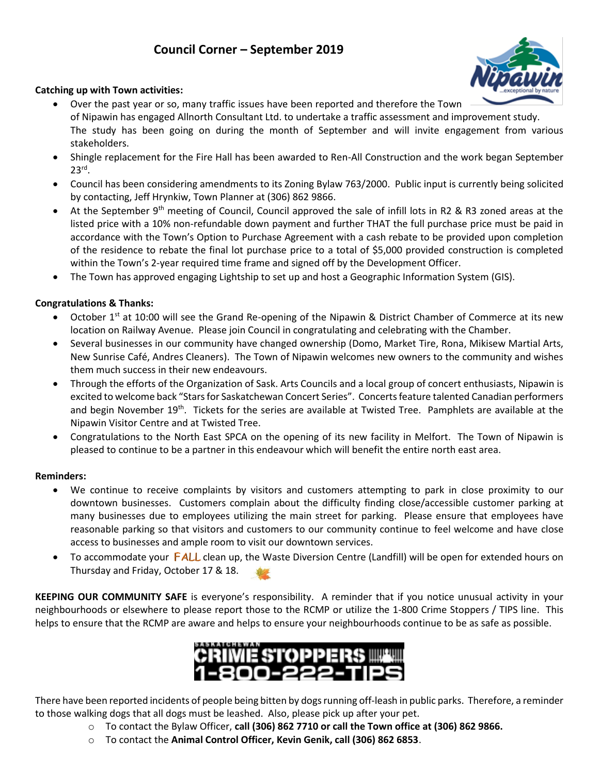# **Council Corner – September 2019**



### **Catching up with Town activities:**

- Over the past year or so, many traffic issues have been reported and therefore the Town of Nipawin has engaged Allnorth Consultant Ltd. to undertake a traffic assessment and improvement study. The study has been going on during the month of September and will invite engagement from various stakeholders.
- Shingle replacement for the Fire Hall has been awarded to Ren-All Construction and the work began September  $23^{\text{rd}}$ .
- Council has been considering amendments to its Zoning Bylaw 763/2000. Public input is currently being solicited by contacting, Jeff Hrynkiw, Town Planner at (306) 862 9866.
- At the September 9<sup>th</sup> meeting of Council, Council approved the sale of infill lots in R2 & R3 zoned areas at the listed price with a 10% non-refundable down payment and further THAT the full purchase price must be paid in accordance with the Town's Option to Purchase Agreement with a cash rebate to be provided upon completion of the residence to rebate the final lot purchase price to a total of \$5,000 provided construction is completed within the Town's 2-year required time frame and signed off by the Development Officer.
- The Town has approved engaging Lightship to set up and host a Geographic Information System (GIS).

### **Congratulations & Thanks:**

- October 1<sup>st</sup> at 10:00 will see the Grand Re-opening of the Nipawin & District Chamber of Commerce at its new location on Railway Avenue. Please join Council in congratulating and celebrating with the Chamber.
- Several businesses in our community have changed ownership (Domo, Market Tire, Rona, Mikisew Martial Arts, New Sunrise Café, Andres Cleaners). The Town of Nipawin welcomes new owners to the community and wishes them much success in their new endeavours.
- Through the efforts of the Organization of Sask. Arts Councils and a local group of concert enthusiasts, Nipawin is excited to welcome back "Stars for Saskatchewan Concert Series". Concerts feature talented Canadian performers and begin November 19<sup>th</sup>. Tickets for the series are available at Twisted Tree. Pamphlets are available at the Nipawin Visitor Centre and at Twisted Tree.
- Congratulations to the North East SPCA on the opening of its new facility in Melfort. The Town of Nipawin is pleased to continue to be a partner in this endeavour which will benefit the entire north east area.

#### **Reminders:**

- We continue to receive complaints by visitors and customers attempting to park in close proximity to our downtown businesses. Customers complain about the difficulty finding close/accessible customer parking at many businesses due to employees utilizing the main street for parking. Please ensure that employees have reasonable parking so that visitors and customers to our community continue to feel welcome and have close access to businesses and ample room to visit our downtown services.
- To accommodate your **FALL** clean up, the Waste Diversion Centre (Landfill) will be open for extended hours on Thursday and Friday, October 17 & 18.

**KEEPING OUR COMMUNITY SAFE** is everyone's [res](http://dreyfusdragon.blogspot.com/2010/09/fall-is-here.html)ponsibility. A reminder that if you notice unusual activity in your neighbourhoods or elsewhere to please report th[ose](http://dreyfusdragon.blogspot.com/2010/09/fall-is-here.html) to the RCMP or utilize the 1-800 Crime Stoppers / TIPS line. This helps to ensure that the RCMP are aware and hel[ps](http://dreyfusdragon.blogspot.com/2010/09/fall-is-here.html) to ensure your neighbourhoods continue to be as safe as possible.



There have been reported incidents of people being bitten by dogs running off-leash in public parks. Therefore, a reminder to those walking dogs that all dogs must be leashed. Also, please pick up after your pet.

- o To contact the Bylaw Officer, **call (306) 862 7710 or call the Town office at (306) 862 9866.**
- o To contact the **Animal Control Officer, Kevin Genik, call (306) 862 6853**.